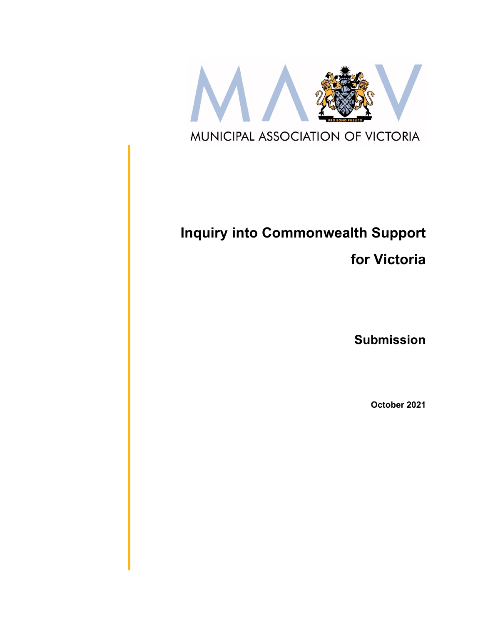

# **Inquiry into Commonwealth Support**

**for Victoria**

**Submission**

**October 2021**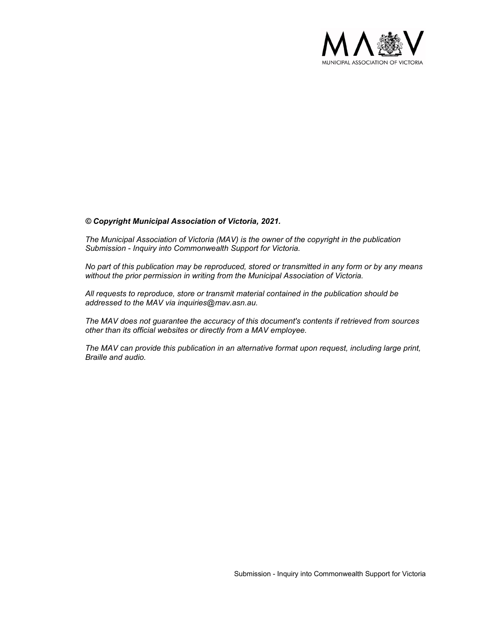

#### *© Copyright Municipal Association of Victoria, 2021.*

*The Municipal Association of Victoria (MAV) is the owner of the copyright in the publication Submission - Inquiry into Commonwealth Support for Victoria.* 

*No part of this publication may be reproduced, stored or transmitted in any form or by any means without the prior permission in writing from the Municipal Association of Victoria.* 

*All requests to reproduce, store or transmit material contained in the publication should be addressed to the MAV via inquiries@mav.asn.au.* 

*The MAV does not guarantee the accuracy of this document's contents if retrieved from sources other than its official websites or directly from a MAV employee.*

*The MAV can provide this publication in an alternative format upon request, including large print, Braille and audio.*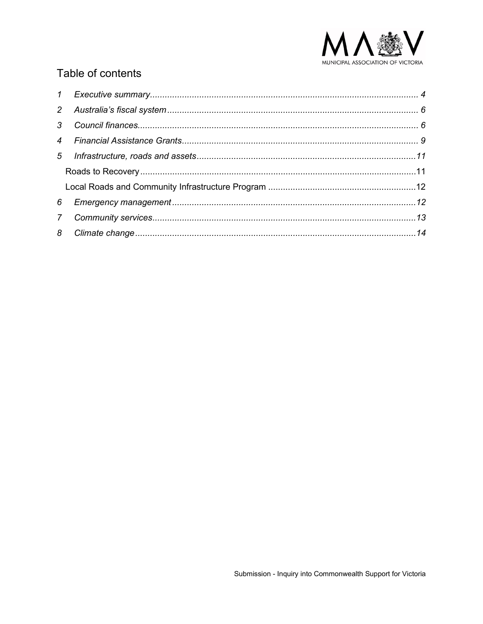

## Table of contents

| 6           |  |
|-------------|--|
| $7^{\circ}$ |  |
|             |  |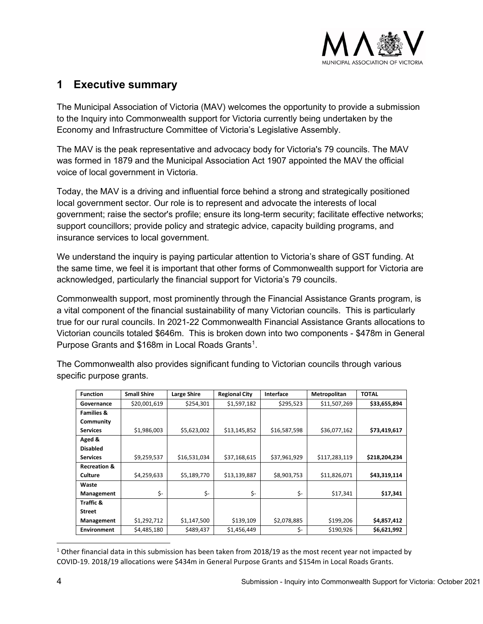

### <span id="page-3-0"></span>**1 Executive summary**

The Municipal Association of Victoria (MAV) welcomes the opportunity to provide a submission to the Inquiry into Commonwealth support for Victoria currently being undertaken by the Economy and Infrastructure Committee of Victoria's Legislative Assembly.

The MAV is the peak representative and advocacy body for Victoria's 79 councils. The MAV was formed in 1879 and the Municipal Association Act 1907 appointed the MAV the official voice of local government in Victoria.

Today, the MAV is a driving and influential force behind a strong and strategically positioned local government sector. Our role is to represent and advocate the interests of local government; raise the sector's profile; ensure its long-term security; facilitate effective networks; support councillors; provide policy and strategic advice, capacity building programs, and insurance services to local government.

We understand the inquiry is paying particular attention to Victoria's share of GST funding. At the same time, we feel it is important that other forms of Commonwealth support for Victoria are acknowledged, particularly the financial support for Victoria's 79 councils.

Commonwealth support, most prominently through the Financial Assistance Grants program, is a vital component of the financial sustainability of many Victorian councils. This is particularly true for our rural councils. In 2021-22 Commonwealth Financial Assistance Grants allocations to Victorian councils totaled \$646m. This is broken down into two components - \$478m in General Purpose Grants and  $$168m$  $$168m$  $$168m$  in Local Roads Grants $^1$ .

The Commonwealth also provides significant funding to Victorian councils through various specific purpose grants.

| <b>Function</b>         | <b>Small Shire</b> | Large Shire  | <b>Regional City</b> | Interface    | Metropolitan  | <b>TOTAL</b>  |  |
|-------------------------|--------------------|--------------|----------------------|--------------|---------------|---------------|--|
| Governance              | \$20,001,619       | \$254,301    | \$1,597,182          | \$295,523    | \$11,507,269  | \$33,655,894  |  |
| <b>Families &amp;</b>   |                    |              |                      |              |               |               |  |
| Community               |                    |              |                      |              |               |               |  |
| <b>Services</b>         | \$1,986,003        | \$5,623,002  | \$13,145,852         | \$16,587,598 | \$36,077,162  | \$73,419,617  |  |
| Aged &                  |                    |              |                      |              |               |               |  |
| <b>Disabled</b>         |                    |              |                      |              |               |               |  |
| <b>Services</b>         | \$9,259,537        | \$16,531,034 | \$37,168,615         | \$37,961,929 | \$117,283,119 | \$218,204,234 |  |
| <b>Recreation &amp;</b> |                    |              |                      |              |               |               |  |
| <b>Culture</b>          | \$4,259,633        | \$5,189,770  | \$13,139,887         | \$8,903,753  | \$11,826,071  | \$43,319,114  |  |
| Waste                   |                    |              |                      |              |               |               |  |
| Management              | \$-                | \$-          | \$-                  | \$-          | \$17,341      | \$17,341      |  |
| Traffic &               |                    |              |                      |              |               |               |  |
| <b>Street</b>           |                    |              |                      |              |               |               |  |
| Management              | \$1,292,712        | \$1,147,500  | \$139,109            | \$2,078,885  | \$199,206     | \$4,857,412   |  |
| <b>Environment</b>      | \$4,485,180        | \$489,437    | \$1,456,449          | \$-          | \$190,926     | \$6,621,992   |  |

<span id="page-3-1"></span> $1$  Other financial data in this submission has been taken from 2018/19 as the most recent year not impacted by COVID-19. 2018/19 allocations were \$434m in General Purpose Grants and \$154m in Local Roads Grants.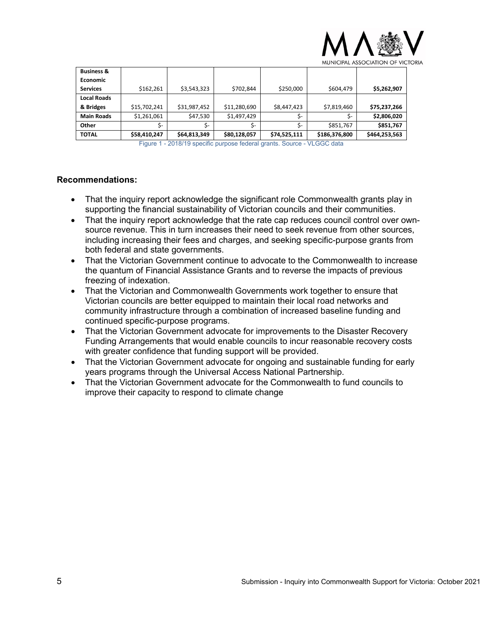

| <b>Business &amp;</b> |              |              |              |              |               |               |
|-----------------------|--------------|--------------|--------------|--------------|---------------|---------------|
| <b>Economic</b>       |              |              |              |              |               |               |
| <b>Services</b>       | \$162,261    | \$3,543,323  | \$702,844    | \$250,000    | \$604,479     | \$5,262,907   |
| <b>Local Roads</b>    |              |              |              |              |               |               |
| & Bridges             | \$15,702,241 | \$31,987,452 | \$11,280,690 | \$8,447,423  | \$7,819,460   | \$75,237,266  |
| <b>Main Roads</b>     | \$1,261,061  | \$47,530     | \$1,497,429  | \$-          | Ś-            | \$2,806,020   |
| Other                 | Ś-           | Ś-           | S-           | \$-          | \$851,767     | \$851,767     |
| <b>TOTAL</b>          | \$58,410,247 | \$64,813,349 | \$80,128,057 | \$74,525,111 | \$186,376,800 | \$464,253,563 |

Figure 1 - 2018/19 specific purpose federal grants. Source - VLGGC data

#### **Recommendations:**

- That the inquiry report acknowledge the significant role Commonwealth grants play in supporting the financial sustainability of Victorian councils and their communities.
- That the inquiry report acknowledge that the rate cap reduces council control over ownsource revenue. This in turn increases their need to seek revenue from other sources, including increasing their fees and charges, and seeking specific-purpose grants from both federal and state governments.
- That the Victorian Government continue to advocate to the Commonwealth to increase the quantum of Financial Assistance Grants and to reverse the impacts of previous freezing of indexation.
- That the Victorian and Commonwealth Governments work together to ensure that Victorian councils are better equipped to maintain their local road networks and community infrastructure through a combination of increased baseline funding and continued specific-purpose programs.
- That the Victorian Government advocate for improvements to the Disaster Recovery Funding Arrangements that would enable councils to incur reasonable recovery costs with greater confidence that funding support will be provided.
- That the Victorian Government advocate for ongoing and sustainable funding for early years programs through the Universal Access National Partnership.
- That the Victorian Government advocate for the Commonwealth to fund councils to improve their capacity to respond to climate change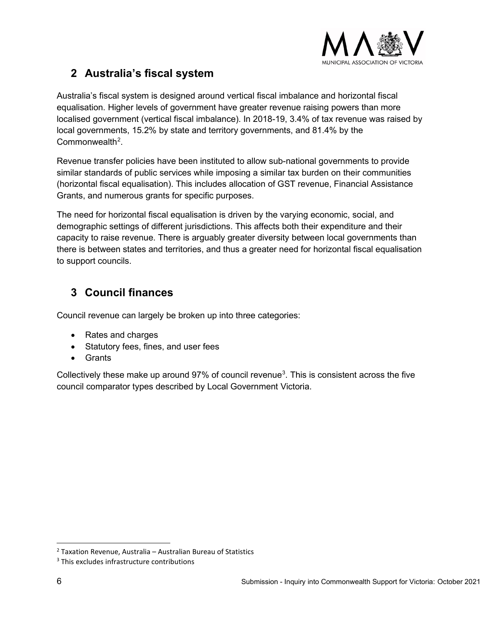

# <span id="page-5-0"></span>**2 Australia's fiscal system**

Australia's fiscal system is designed around vertical fiscal imbalance and horizontal fiscal equalisation. Higher levels of government have greater revenue raising powers than more localised government (vertical fiscal imbalance). In 2018-19, 3.4% of tax revenue was raised by local governments, 15.2% by state and territory governments, and 81.4% by the  $Commonwealth<sup>2</sup>$  $Commonwealth<sup>2</sup>$  $Commonwealth<sup>2</sup>$ .

Revenue transfer policies have been instituted to allow sub-national governments to provide similar standards of public services while imposing a similar tax burden on their communities (horizontal fiscal equalisation). This includes allocation of GST revenue, Financial Assistance Grants, and numerous grants for specific purposes.

The need for horizontal fiscal equalisation is driven by the varying economic, social, and demographic settings of different jurisdictions. This affects both their expenditure and their capacity to raise revenue. There is arguably greater diversity between local governments than there is between states and territories, and thus a greater need for horizontal fiscal equalisation to support councils.

# <span id="page-5-1"></span>**3 Council finances**

Council revenue can largely be broken up into three categories:

- Rates and charges
- Statutory fees, fines, and user fees
- Grants

Collectively these make up around 97% of council revenue $^3$  $^3$ . This is consistent across the five council comparator types described by Local Government Victoria.

<span id="page-5-2"></span> $2$  Taxation Revenue, Australia – Australian Bureau of Statistics

<span id="page-5-3"></span><sup>&</sup>lt;sup>3</sup> This excludes infrastructure contributions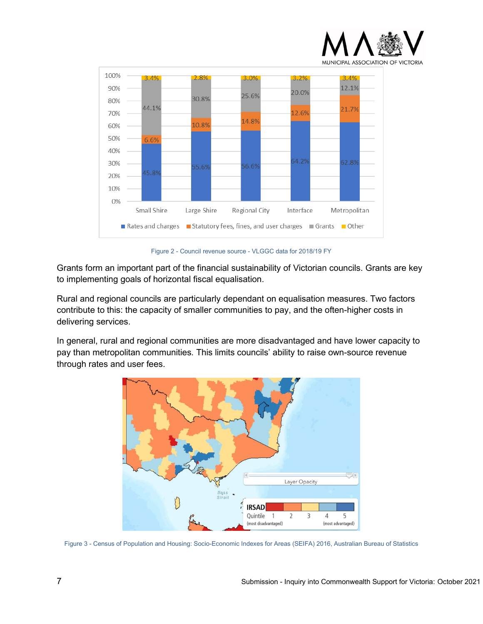



Figure 2 - Council revenue source - VLGGC data for 2018/19 FY

Grants form an important part of the financial sustainability of Victorian councils. Grants are key to implementing goals of horizontal fiscal equalisation.

Rural and regional councils are particularly dependant on equalisation measures. Two factors contribute to this: the capacity of smaller communities to pay, and the often-higher costs in delivering services.

In general, rural and regional communities are more disadvantaged and have lower capacity to pay than metropolitan communities. This limits councils' ability to raise own-source revenue through rates and user fees.



Figure 3 - Census of Population and Housing: Socio-Economic Indexes for Areas (SEIFA) 2016, Australian Bureau of Statistics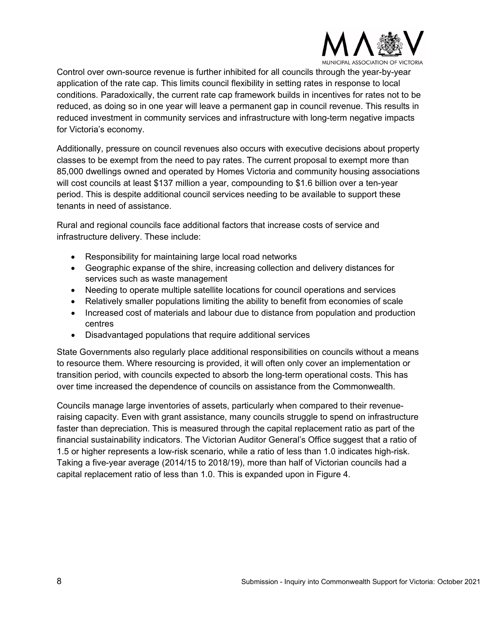

Control over own-source revenue is further inhibited for all councils through the year-by-year application of the rate cap. This limits council flexibility in setting rates in response to local conditions. Paradoxically, the current rate cap framework builds in incentives for rates not to be reduced, as doing so in one year will leave a permanent gap in council revenue. This results in reduced investment in community services and infrastructure with long-term negative impacts for Victoria's economy.

Additionally, pressure on council revenues also occurs with executive decisions about property classes to be exempt from the need to pay rates. The current proposal to exempt more than 85,000 dwellings owned and operated by Homes Victoria and community housing associations will cost councils at least \$137 million a year, compounding to \$1.6 billion over a ten-year period. This is despite additional council services needing to be available to support these tenants in need of assistance.

Rural and regional councils face additional factors that increase costs of service and infrastructure delivery. These include:

- Responsibility for maintaining large local road networks
- Geographic expanse of the shire, increasing collection and delivery distances for services such as waste management
- Needing to operate multiple satellite locations for council operations and services
- Relatively smaller populations limiting the ability to benefit from economies of scale
- Increased cost of materials and labour due to distance from population and production centres
- Disadvantaged populations that require additional services

State Governments also regularly place additional responsibilities on councils without a means to resource them. Where resourcing is provided, it will often only cover an implementation or transition period, with councils expected to absorb the long-term operational costs. This has over time increased the dependence of councils on assistance from the Commonwealth.

Councils manage large inventories of assets, particularly when compared to their revenueraising capacity. Even with grant assistance, many councils struggle to spend on infrastructure faster than depreciation. This is measured through the capital replacement ratio as part of the financial sustainability indicators. The Victorian Auditor General's Office suggest that a ratio of 1.5 or higher represents a low-risk scenario, while a ratio of less than 1.0 indicates high-risk. Taking a five-year average (2014/15 to 2018/19), more than half of Victorian councils had a capital replacement ratio of less than 1.0. This is expanded upon in Figure 4.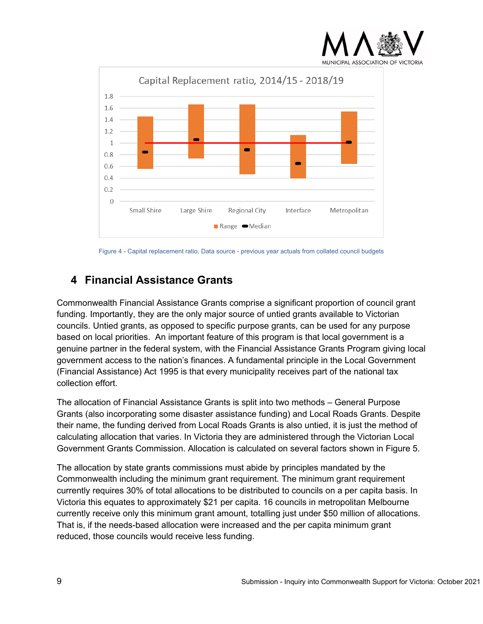



Figure 4 - Capital replacement ratio. Data source - previous year actuals from collated council budgets

# <span id="page-8-0"></span>**4 Financial Assistance Grants**

Commonwealth Financial Assistance Grants comprise a significant proportion of council grant funding. Importantly, they are the only major source of untied grants available to Victorian councils. Untied grants, as opposed to specific purpose grants, can be used for any purpose based on local priorities. An important feature of this program is that local government is a genuine partner in the federal system, with the Financial Assistance Grants Program giving local government access to the nation's finances. A fundamental principle in the Local Government (Financial Assistance) Act 1995 is that every municipality receives part of the national tax collection effort.

The allocation of Financial Assistance Grants is split into two methods – General Purpose Grants (also incorporating some disaster assistance funding) and Local Roads Grants. Despite their name, the funding derived from Local Roads Grants is also untied, it is just the method of calculating allocation that varies. In Victoria they are administered through the Victorian Local Government Grants Commission. Allocation is calculated on several factors shown in Figure 5.

The allocation by state grants commissions must abide by principles mandated by the Commonwealth including the minimum grant requirement. The minimum grant requirement currently requires 30% of total allocations to be distributed to councils on a per capita basis. In Victoria this equates to approximately \$21 per capita. 16 councils in metropolitan Melbourne currently receive only this minimum grant amount, totalling just under \$50 million of allocations. That is, if the needs-based allocation were increased and the per capita minimum grant reduced, those councils would receive less funding.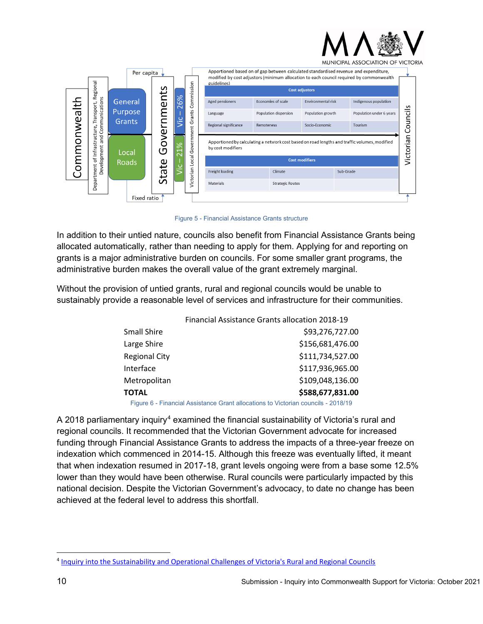

MUNICIPAL ASSOCIATION OF VICTORIA



Figure 5 - Financial Assistance Grants structure

In addition to their untied nature, councils also benefit from Financial Assistance Grants being allocated automatically, rather than needing to apply for them. Applying for and reporting on grants is a major administrative burden on councils. For some smaller grant programs, the administrative burden makes the overall value of the grant extremely marginal.

Without the provision of untied grants, rural and regional councils would be unable to sustainably provide a reasonable level of services and infrastructure for their communities.

|                      | Financial Assistance Grants allocation 2018-19 |                  |
|----------------------|------------------------------------------------|------------------|
| Small Shire          |                                                | \$93,276,727.00  |
| Large Shire          |                                                | \$156,681,476.00 |
| <b>Regional City</b> |                                                | \$111,734,527.00 |
| Interface            |                                                | \$117,936,965.00 |
| Metropolitan         |                                                | \$109,048,136.00 |
| ΤΟΤΑL                |                                                | \$588,677,831.00 |
|                      |                                                |                  |

Figure 6 - Financial Assistance Grant allocations to Victorian councils - 2018/19

A 2018 parliamentary inquiry<sup>[4](#page-9-0)</sup> examined the financial sustainability of Victoria's rural and regional councils. It recommended that the Victorian Government advocate for increased funding through Financial Assistance Grants to address the impacts of a three-year freeze on indexation which commenced in 2014-15. Although this freeze was eventually lifted, it meant that when indexation resumed in 2017-18, grant levels ongoing were from a base some 12.5% lower than they would have been otherwise. Rural councils were particularly impacted by this national decision. Despite the Victorian Government's advocacy, to date no change has been achieved at the federal level to address this shortfall.

<span id="page-9-0"></span><sup>4</sup> Inquiry into the Sustainability [and Operational Challenges of Victoria's Rural and Regional Councils](https://www.parliament.vic.gov.au/401-enrrdc/inquiry-into-the-sustainability-and-operational-challenges-of-victorias-rural-and-regional-councils)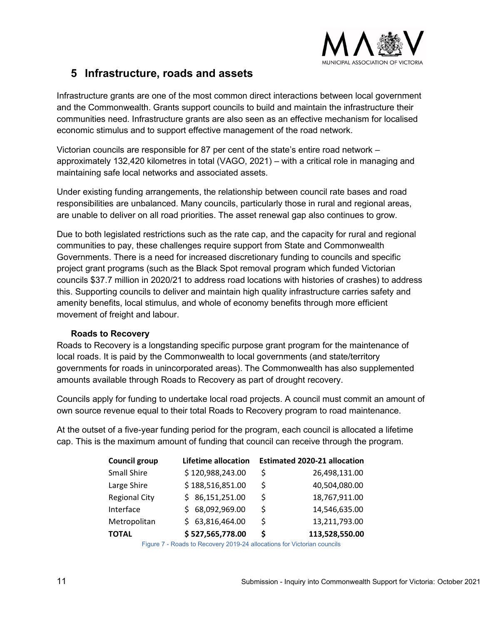

### <span id="page-10-0"></span>**5 Infrastructure, roads and assets**

Infrastructure grants are one of the most common direct interactions between local government and the Commonwealth. Grants support councils to build and maintain the infrastructure their communities need. Infrastructure grants are also seen as an effective mechanism for localised economic stimulus and to support effective management of the road network.

Victorian councils are responsible for 87 per cent of the state's entire road network – approximately 132,420 kilometres in total (VAGO, 2021) – with a critical role in managing and maintaining safe local networks and associated assets.

Under existing funding arrangements, the relationship between council rate bases and road responsibilities are unbalanced. Many councils, particularly those in rural and regional areas, are unable to deliver on all road priorities. The asset renewal gap also continues to grow.

Due to both legislated restrictions such as the rate cap, and the capacity for rural and regional communities to pay, these challenges require support from State and Commonwealth Governments. There is a need for increased discretionary funding to councils and specific project grant programs (such as the Black Spot removal program which funded Victorian councils \$37.7 million in 2020/21 to address road locations with histories of crashes) to address this. Supporting councils to deliver and maintain high quality infrastructure carries safety and amenity benefits, local stimulus, and whole of economy benefits through more efficient movement of freight and labour.

#### **Roads to Recovery**

<span id="page-10-1"></span>Roads to Recovery is a longstanding specific purpose grant program for the maintenance of local roads. It is paid by the Commonwealth to local governments (and state/territory governments for roads in unincorporated areas). The Commonwealth has also supplemented amounts available through Roads to Recovery as part of drought recovery.

Councils apply for funding to undertake local road projects. A council must commit an amount of own source revenue equal to their total Roads to Recovery program to road maintenance.

At the outset of a five-year funding period for the program, each council is allocated a lifetime cap. This is the maximum amount of funding that council can receive through the program.

| <b>Council group</b> | <b>Lifetime allocation</b> |    | <b>Estimated 2020-21 allocation</b> |
|----------------------|----------------------------|----|-------------------------------------|
| Small Shire          | \$120,988,243.00           | Ś  | 26,498,131.00                       |
| Large Shire          | \$188,516,851.00           | Ŝ  | 40,504,080.00                       |
| <b>Regional City</b> | \$86,151,251.00            | Ś  | 18,767,911.00                       |
| Interface            | \$68,092,969.00            | \$ | 14,546,635.00                       |
| Metropolitan         | \$63,816,464.00            | \$ | 13,211,793.00                       |
| <b>TOTAL</b>         | \$527,565,778.00           | \$ | 113,528,550.00                      |

Figure 7 - Roads to Recovery 2019-24 allocations for Victorian councils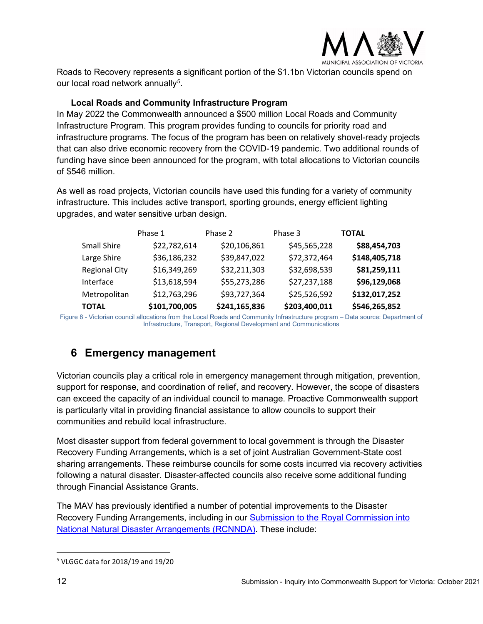

Roads to Recovery represents a significant portion of the \$1.1bn Victorian councils spend on our local road network annually $^5$  $^5$ .

#### **Local Roads and Community Infrastructure Program**

<span id="page-11-0"></span>In May 2022 the Commonwealth announced a \$500 million Local Roads and Community Infrastructure Program. This program provides funding to councils for priority road and infrastructure programs. The focus of the program has been on relatively shovel-ready projects that can also drive economic recovery from the COVID-19 pandemic. Two additional rounds of funding have since been announced for the program, with total allocations to Victorian councils of \$546 million.

As well as road projects, Victorian councils have used this funding for a variety of community infrastructure. This includes active transport, sporting grounds, energy efficient lighting upgrades, and water sensitive urban design.

|                      | Phase 1       | Phase 2       | Phase 3       | <b>TOTAL</b>  |
|----------------------|---------------|---------------|---------------|---------------|
| <b>Small Shire</b>   | \$22,782,614  | \$20,106,861  | \$45,565,228  | \$88,454,703  |
| Large Shire          | \$36,186,232  | \$39,847,022  | \$72,372,464  | \$148,405,718 |
| <b>Regional City</b> | \$16,349,269  | \$32,211,303  | \$32,698,539  | \$81,259,111  |
| Interface            | \$13,618,594  | \$55,273,286  | \$27,237,188  | \$96,129,068  |
| Metropolitan         | \$12,763,296  | \$93,727,364  | \$25,526,592  | \$132,017,252 |
| <b>TOTAL</b>         | \$101,700,005 | \$241,165,836 | \$203,400,011 | \$546,265,852 |

Figure 8 - Victorian council allocations from the Local Roads and Community Infrastructure program – Data source: Department of Infrastructure, Transport, Regional Development and Communications

### <span id="page-11-1"></span>**6 Emergency management**

Victorian councils play a critical role in emergency management through mitigation, prevention, support for response, and coordination of relief, and recovery. However, the scope of disasters can exceed the capacity of an individual council to manage. Proactive Commonwealth support is particularly vital in providing financial assistance to allow councils to support their communities and rebuild local infrastructure.

Most disaster support from federal government to local government is through the Disaster Recovery Funding Arrangements, which is a set of joint Australian Government-State cost sharing arrangements. These reimburse councils for some costs incurred via recovery activities following a natural disaster. Disaster-affected councils also receive some additional funding through Financial Assistance Grants.

The MAV has previously identified a number of potential improvements to the Disaster Recovery Funding Arrangements, including in our [Submission to the Royal Commission into](https://www.mav.asn.au/__data/assets/pdf_file/0020/25436/MAV-Submission-to-Royal-Commission-into-National-Natural-Disaster-Arrangements-LG-Issues-Paper-final.pdf)  [National Natural Disaster Arrangements](https://www.mav.asn.au/__data/assets/pdf_file/0020/25436/MAV-Submission-to-Royal-Commission-into-National-Natural-Disaster-Arrangements-LG-Issues-Paper-final.pdf) (RCNNDA). These include:

<span id="page-11-2"></span><sup>5</sup> VLGGC data for 2018/19 and 19/20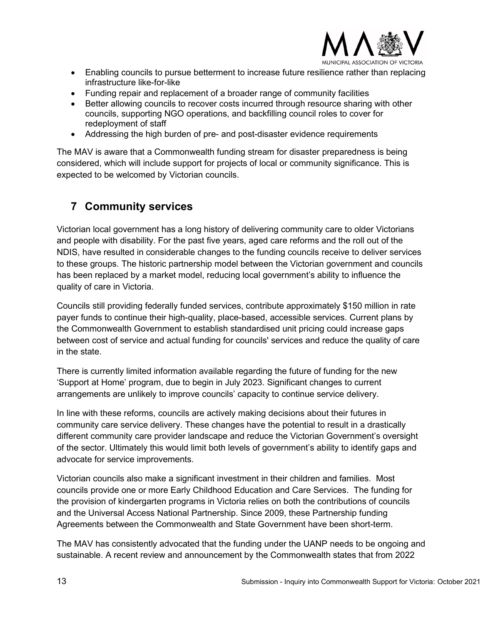

- Enabling councils to pursue betterment to increase future resilience rather than replacing infrastructure like-for-like
- Funding repair and replacement of a broader range of community facilities
- Better allowing councils to recover costs incurred through resource sharing with other councils, supporting NGO operations, and backfilling council roles to cover for redeployment of staff
- Addressing the high burden of pre- and post-disaster evidence requirements

The MAV is aware that a Commonwealth funding stream for disaster preparedness is being considered, which will include support for projects of local or community significance. This is expected to be welcomed by Victorian councils.

## <span id="page-12-0"></span>**7 Community services**

Victorian local government has a long history of delivering community care to older Victorians and people with disability. For the past five years, aged care reforms and the roll out of the NDIS, have resulted in considerable changes to the funding councils receive to deliver services to these groups. The historic partnership model between the Victorian government and councils has been replaced by a market model, reducing local government's ability to influence the quality of care in Victoria.

Councils still providing federally funded services, contribute approximately \$150 million in rate payer funds to continue their high-quality, place-based, accessible services. Current plans by the Commonwealth Government to establish standardised unit pricing could increase gaps between cost of service and actual funding for councils' services and reduce the quality of care in the state.

There is currently limited information available regarding the future of funding for the new 'Support at Home' program, due to begin in July 2023. Significant changes to current arrangements are unlikely to improve councils' capacity to continue service delivery.

In line with these reforms, councils are actively making decisions about their futures in community care service delivery. These changes have the potential to result in a drastically different community care provider landscape and reduce the Victorian Government's oversight of the sector. Ultimately this would limit both levels of government's ability to identify gaps and advocate for service improvements.

Victorian councils also make a significant investment in their children and families. Most councils provide one or more Early Childhood Education and Care Services. The funding for the provision of kindergarten programs in Victoria relies on both the contributions of councils and the Universal Access National Partnership. Since 2009, these Partnership funding Agreements between the Commonwealth and State Government have been short-term.

The MAV has consistently advocated that the funding under the UANP needs to be ongoing and sustainable. A recent review and announcement by the Commonwealth states that from 2022